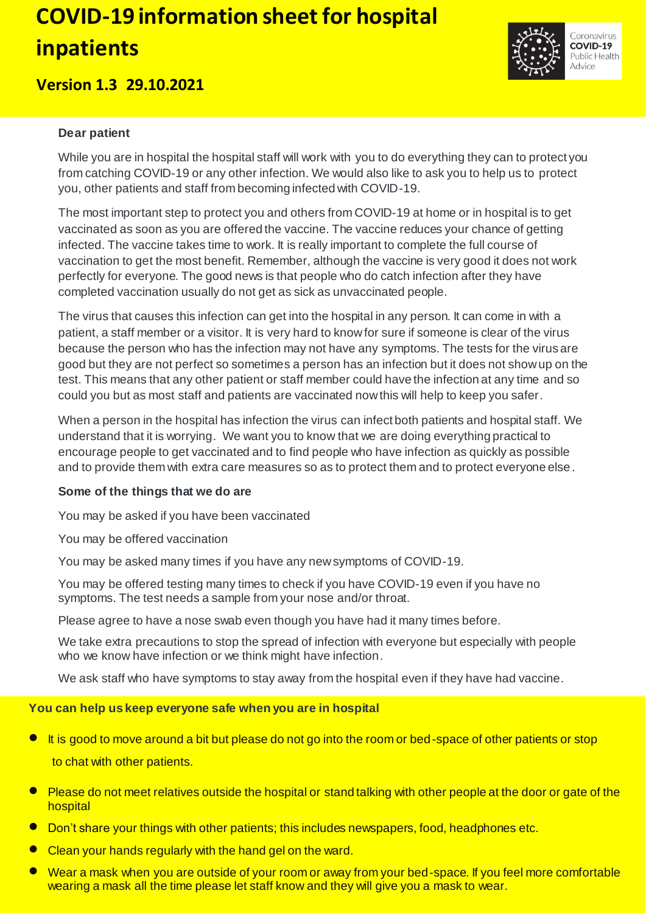# **COVID-19 information sheet for hospital inpatients**

# **Version 1.3 29.10.2021**

#### **Dear patient**

While you are in hospital the hospital staff will work with you to do everything they can to protect you from catching COVID-19 or any other infection. We would also like to ask you to help us to protect you, other patients and staff from becoming infected with COVID-19.

The most important step to protect you and others from COVID-19 at home or in hospital is to get vaccinated as soon as you are offered the vaccine. The vaccine reduces your chance of getting infected. The vaccine takes time to work. It is really important to complete the full course of vaccination to get the most benefit. Remember, although the vaccine is very good it does not work perfectly for everyone. The good news is that people who do catch infection after they have completed vaccination usually do not get as sick as unvaccinated people.

The virus that causes this infection can get into the hospital in any person. It can come in with a patient, a staff member or a visitor. It is very hard to know for sure if someone is clear of the virus because the person who has the infection may not have any symptoms. The tests for the virus are good but they are not perfect so sometimes a person has an infection but it does not show up on the test. This means that any other patient or staff member could have the infection at any time and so could you but as most staff and patients are vaccinated now this will help to keep you safer.

When a person in the hospital has infection the virus can infect both patients and hospital staff. We understand that it is worrying. We want you to know that we are doing everything practical to encourage people to get vaccinated and to find people who have infection as quickly as possible and to provide them with extra care measures so as to protect them and to protect everyone else .

#### **Some of the things that we do are**

You may be asked if you have been vaccinated

You may be offered vaccination

You may be asked many times if you have any new symptoms of COVID-19.

You may be offered testing many times to check if you have COVID-19 even if you have no symptoms. The test needs a sample from your nose and/or throat.

Please agree to have a nose swab even though you have had it many times before.

We take extra precautions to stop the spread of infection with everyone but especially with people who we know have infection or we think might have infection.

We ask staff who have symptoms to stay away from the hospital even if they have had vaccine.

#### **You can help us keep everyone safe when you are in hospital**

- It is good to move around a bit but please do not go into the room or bed-space of other patients or stop to chat with other patients.
- **P** Please do not meet relatives outside the hospital or stand talking with other people at the door or gate of the hospital
- **•** Don't share your things with other patients; this includes newspapers, food, headphones etc.
- Clean your hands regularly with the hand gel on the ward.
- Wear a mask when you are outside of your room or away from your bed-space. If you feel more comfortable wearing a mask all the time please let staff know and they will give you a mask to wear.